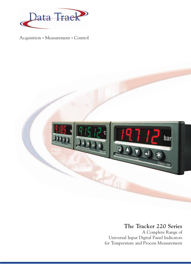

Acquisition • Measurement • Control



## **The Tracker 220 Series**

A Complete Range of Universal Input Digital Panel Indicators for Temperature and Process Measurement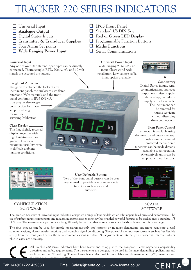# TRACKER 220 SERIES INDICATORS

- Universal Input
- **Analogue Output**
- Digital Status Inputs
- **Transmitter & Transducer Supplies**
- $\Box$  Four Alarm Set points
- **Wide Ranging Power Input**

#### **Universal Input**

Any one of over 20 different input types can be directly connected. Thermocouple, RTD, 20mA, mV and 10 volt signals are accepted as standard.

#### **Tough but Attractive**

Designed to enhance the looks of any instrument panel, the enclosure uses flame retardant (VO) materials and the front panel conforms to IP65 (NEMA 4).

The plug in sleeve-type construction facilitates simple exchange for routine servicing/calibration.

#### **Clear Display**

The flat, slightly recessed display, together with high brightness red or green LEDs ensure maximum visibility even in difficult ambient lighting conditions.



#### CONFIGURATION **SOFTWARE**

**IP65 Front Panel** Standard 1/8 DIN Size

**Red or Green LED Display**

**Programmable Function Buttons** 

**Maths Functions**

Serial Communications

**Universal Power Input** Wide-ranging 90 to 265v ac input allows world-wide installation. Low voltage ac/dc input option available.

Tracker 220



**Connectivity**

Digital Status inputs, serial communications, analogue output, transmitter supply, alarm relays, transducer supply, are all available. The instrument can be removed for routine servicing without disturbing these connections.

#### **Front Panel Control**

Full set-up is available using the front panel buttons to step through a simple password protected menu. Some functions can be made directly available to an operator. Alternatively units can be supplied without buttons.



#### SCADA **SOFTWARE**

(iiiii)

**ICENTA** 

The Tracker 220 series of universal input indicators comprises a range of four models which offer unparalleled price and performance. The use of surface mount components and modern microprocessor technology has enabled powerful features to be packed into a standard 1/8 DIN case. The measurement performance is significantly better than that normally associated with indicators in this price range.

**User Definable Buttons** Two of the front panel buttons can be user programmed to provide one or more special functions such as tare and auto zero.

The four models can be used for simple measurement-only applications or in more demanding situations requiring digital communications, alarms, maths functions and complex signal conditioning. The powerful menu-driven software enables fast flexible set-up from the front panel or via the serial communications interface. No adjustments of internal potentiometers, internal links or plug-in cards are necessary.

All Tracker 220 series indicators have been tested and comply with the European Electromagnetic Compatibility directives and safety requirements. The instruments are designed to be used in the most demanding applications and each carries the CE marking. The enclosure is manufactured in re-cyclable and flame-retardant (VO) materials and the front panel conforms to IP 65.

Tel: +44(0)1722 439880 Email: [Sales@icenta.co.uk](mailto:Sales@icenta.co.uk) [www.icenta.co.uk](http://www.icenta.co.uk)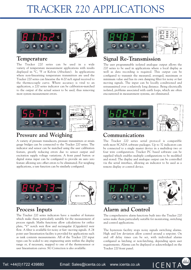# TRACKER 220 APPLICATIONS





### **Temperature**

The Tracker 220 series can be used in a wide variety of temperature measurement applications with results displayed in °C, °F or Kelvin (Absolute). In applications where non-linearising temperature transmitters are used the Tracker 220 series can linearise the 4-20 mA signal received to the thermocouple curve. Where accuracy is vital to an application, a 220 series indicator can be calibration-matched to the output of the actual sensor to be used, thus removing most system measurement errors.



### **Pressure and Weighing**

A variety of pressure transducers, pressure transmitters or strain gauge bridges can be connected to the Tracker 220 series. The indicator and sensor can be matched using the user calibration feature, greatly reducing errors due to sensor output and excitation supply voltage variations. A front panel button or digital status input can be configured to provide an auto zero feature allowing zero offset errors to be eliminated. For weighing applications, a tare function can be similarly configured.



## **Process Inputs**

The Tracker 220 series indicators have a number of features which make them particularly suitable for the measurement of process signals. Maths functions allow calculations for orifice plate, "V" notch weir flow and rectangular (Cippaletti) weir flow. A filter is available for noisy or fast- moving signals. A 24 point user linearisation facility is provided for applications such as tank contents measurements. All of the Tracker 220 input types can be scaled to any engineering units within the display range or, if necessary, mapped to one of the thermosensor or user linearisation curves. SG Correction is also available.



## **Signal Re-Transmission**

The user programmable isolated analogue output allows the 220 series to be used in applications where a local display as well as data recording is required. This output can be configured to transmit the measured, averaged, maximum or minimum value and has its own damping filter for noisy or fast moving signals. The input can be locally conditioned and retransmitted over a relatively long distance. Being electrically isolated, problems associated with earth loops, which are often encountered in measurement systems, are eliminated.



### **Communications**

The Tracker 220 series serial protocol is compatible with most SCADA software packages. Up to 32 indicators can be connected to a single master device in a multidrop two or four wire configuration. Tracker PC based software can be supplied which enables multiple configurations to be modified and stored. The display and analogue output can be controlled via the serial interface, allowing an indicator to be used as a remote display or control device.



## **Alarm and Control**

The comprehensive alarm functions built into the Tracker 220 series make them particularly suitable for monitoring, switching and control applications.

The hysteresis facility stops noisy signals switching alarms. High and low deviation allow control around a setpoint. On and off delay times can be set, with individual alarms configured as latching or non-latching, depending upon user requirements. Alarms can be displayed or acknowledged on the Tracker 220 front panel.

**COLOR** 

ICENTA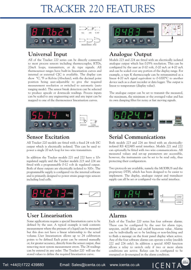# TRACKER 220 FEATURES





## **Universal Input**

All of the Tracker 220 series can be directly connected to most process sensors including thermocouples, RTDs, 20mA loops, transmitters, or dc type signals. All thermosensor ranges have built-in linearisation curves and internal or external CJC is available. The display can show °C, °F or Kelvin (Absolute), with the decimal point position being user-adjustable to give the required measurement resolution or switched to automatic (auto ranging mode). The sensor break detection can be selected to produce upscale or downscale readings. Process inputs can be scaled to any engineering unit and any input can be mapped to one of the thermosensor linearisation curves.



## **Sensor Excitation**

All Tracker 220 models are fitted with a fixed 24 volt DC output which is electrically isolated. This can be used to power a single 20 mA loop for two wire transmitters.

In addition the Tracker models 221 and 222 have a 10v regulated supply and the Tracker models 223 and 224 are fitted with a programmable 0-12 volt dc regulated output. Both of these outputs are electrically isolated to 500v. The programmable supply is configured via the internal software and is primarily designed to power strain gauge-type sensors including load cells.



## **User Linearisation**

Some applications require a special linearisation curve to be defined by the user. A typical example is tank contents measurement where the pressure of a liquid can be measured but this does not have a linear relationship to the actual volume. User linearisation allows up to 24 calibration points to be defined. Each point can be entered manually or, for greater accuracy, directly from the sensor output, thus removing most system measurement errors. The 24 readings can be entered in any order. The Tracker 220 will use the stored values to define the required linearisation curve.



## **Analogue Output**

Models 223 and 224 are fitted with an electrically isolated analogue output which has 0.05% resolution. This can be configured by the user as 0-10 volt, 0-20 mA or 4-20 mA and can be scaled over any portion of the display range. For example, a type K thermocouple can be retransmitted as a linear 4-20 mA signal equivalent to 0-1000°C to another device such as a chart recorder or data logger. The output is linear to temperature (display value).

The analogue output can be set to transmit the measured, the maximum, the minimum or the averaged value and has its own damping filter for noisy or fast moving signals.



## **Serial Communications**

Both models 223 and 224 are fitted with an electricallyisolated RS 422/485 serial interface. Models 221 and 222 can optionally be fitted with two wire communications. All measured values and set-up parameters are accessible, however, the instruments can be set to be read only, thus protecting their configuration.

Two protocols are available, namely the MODBUS and the proprietary DTPI, which has been designed to be easier to implement. The display, analogue output and transducer supply can all be set or configured via the serial interface.



## **Alarms**

Each of the Tracker 220 series has four software alarms. These can be configured by the user for alarm type, setpoint, on/off delay and on/off hysteresis value. Alarms can be individually set to be latching or non-latching and to flash a message on the front panel display when active. Any of the four software alarms can operate a relay (models 222 and 224 only). In addition a special AND function allows a relay to switch only if two or more alarm conditions are active. Relays can be configured to be energised or de-energised in the alarm condition.

(**......**)

ICENTA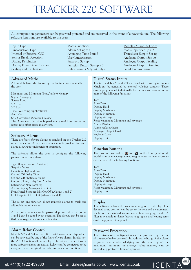# TRACKER 220 SOFTWARE

All configuration parameters can be password protected and are preserved in the event of a power failure. The following software functions are available to the user:

Input Type Linearisation Type Internal or External CJC Sensor Break Detection Display Resolution Display Filter Time Constant Scaling and Calibration

#### **Advanced Maths**

All models have the following maths functions available to the user:

Maximum and Minimum (Peak/Valley) Memory Signal Averaging Square Root 5/2 Root 3/2 Root Tare (Weighing Applications) Auto Zero S.G. Correction (Specific Gravity) The Auto Zero function is particularly useful for correcting sensor zero offset errors in a system.

#### **Software Alarms**

There are four software alarms as standard on the Tracker 220 series indicators. A separate alarm menu is provided for each alarm allowing for independent operation.

The software allows the user to configure the following parameters for each alarm:

Type (High, Low or Deviation) Setpoint Value Deviation High and Low On and Off Delay Time On and Off Hysteresis Value Output (None, Relay 1 or 2 or both) Latching or Non-Latching Alarm Display Message On or Off Front Panel Setpoint Edit On/Off (Alarms 1 and 2) Link Setpoint On or Off (Alarms 3 and 4)

The set-up link function allows multiple alarms to track one adjustable setpoint value.

All setpoint values can be password protected or Setpoints 1 and 2 can be edited by an operator. The display can be set to flash a message when an alarm is active.

#### **Alarm Relay Control**

Models 222 and 224 are each fitted with two alarm relays which can be activated by any of the four software alarms. In addition the AND function allows a relay to be set only when two or more software alarms are active. Relays can be configured to be energised or de-energised (fail safe) in the alarm condition.

Maths Functions Alarm Set-up x 4 Averaging Time Period User Linearisation Password Set-up Function Button Set-up x 2 Relay Set-up (222/224 only) Models 223 and 224 only Status Input Set-up x 2 Transducer Supply Set-up Analogue Output Set-up Analogue Output Scaling Analogue Output Damping Serial Comms Set-up

#### **Digital Status Inputs**

Tracker models 223 and 224 are fitted with two digital inputs which can be activated by external volt-free contacts. These can be programmed individually by the user to perform one or more of the following functions:

Tare Auto Zero Display Hold Display Maximum Display Minimum Display Average Reset Maximum, Minimum and Average Alarm Disable Alarm Acknowledge Analogue Output Hold Keyboard Lock Display Test

#### **Function Buttons**

The two buttons marked  $\bigcirc$  and  $\bigcirc$  on the front panel of all models can be user-programmed to give operator level access to one or more of the following functions:

Tare Auto Zero Display Hold Display Maximum Display Minimum Display Average Reset Maximum, Minimum and Average Display Test

#### **Display**

The software allows the user to configure the display. The decimal point position can be set to the required measurement resolution or switched to automatic (auto-ranging) mode. A filter is available to damp fast-moving signals and leading zeros can be suppressed if required.

#### **Password Protection**

The instrument's configuration can be protected by the use of a user-definable password. In addition, editing of the alarm setpoints, alarm acknowledging and the resetting of the maximum, minimum or average value memory can be individually protected from an operator.

**( ......** )

ICENTA

Tel: +44(0)1722 439880 Email: [Sales@icenta.co.uk](mailto:Sales@icenta.co.uk) [www.icenta.co.uk](http://www.icenta.co.uk)